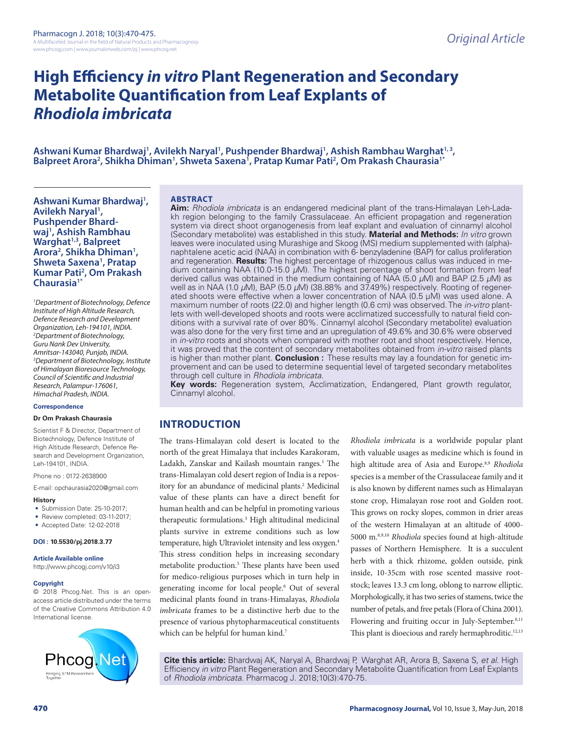# **High Efficiency** *in vitro* **Plant Regeneration and Secondary Metabolite Quantification from Leaf Explants of**  *Rhodiola imbricata*

Ashwani Kumar Bhardwaj<sup>1</sup>, Avilekh Naryal<sup>1</sup>, Pushpender Bhardwaj<sup>1</sup>, Ashish Rambhau Warghat<sup>1, 3</sup>,<br>Balpreet Arora<sup>2</sup>, Shikha Dhiman<sup>1</sup>, Shweta Saxena<sup>1</sup>, Pratap Kumar Pati<sup>2</sup>, Om Prakash Chaurasia<sup>1\*</sup> , Shikha Dhiman<sup>1</sup>, Shweta Saxena<sup>i</sup>, Pratap Kumar Pati<sup>2</sup>, Om Prakash Chaurasia<sup>1\*</sup>

**Ashwani Kumar Bhardwaj1 ,**  Avilekh Naryal<sup>1</sup>, **Pushpender Bhardwaj1 , Ashish Rambhau Warghat1,3, Balpreet Arora2 , Shikha Dhiman1 , Shweta Saxena1 , Pratap Kumar Pati2 , Om Prakash Chaurasia1\***

*1 Department of Biotechnology, Defence Institute of High Altitude Research, Defence Research and Development Organization, Leh-194101, INDIA. 2 Department of Biotechnology, Guru Nank Dev University, Amritsar-143040, Punjab, INDIA. 3 Department of Biotechnology, Institute of Himalayan Bioresource Technology, Council of Scientific and Industrial Research, Palampur-176061, Himachal Pradesh, INDIA.*

#### **Correspondence**

#### **Dr Om Prakash Chaurasia**

Scientist F & Director, Department of Biotechnology, Defence Institute of High Altitude Research, Defence Research and Development Organization, Leh-194101, INDIA.

Phone no : 0172-2638900

E-mail: opchaurasia2020@gmail.com

#### **History**

- Submission Date: 25-10-2017;
- Review completed: 03-11-2017;
- Accepted Date: 12-02-2018

#### **DOI : 10.5530/pj.2018.3.77**

#### **Article Available online**

http://www.phcogj.com/v10/i3

#### **Copyright**

© 2018 Phcog.Net. This is an openaccess article distributed under the terms of the Creative Commons Attribution 4.0 International license.



#### **ABSTRACT**

**Aim:** *Rhodiola imbricata* is an endangered medicinal plant of the trans-Himalayan Leh-Ladakh region belonging to the family Crassulaceae. An efficient propagation and regeneration system via direct shoot organogenesis from leaf explant and evaluation of cinnamyl alcohol (Secondary metabolite) was established in this study. **Material and Methods:** *In vitro* grown leaves were inoculated using Murashige and Skoog (MS) medium supplemented with (alpha) naphtalene acetic acid (NAA) in combination with 6- benzyladenine (BAP) for callus proliferation and regeneration. **Results:** The highest percentage of rhizogenous callus was induced in medium containing NAA (10.0-15.0 *µ*M). The highest percentage of shoot formation from leaf derived callus was obtained in the medium containing of NAA (5.0 *µ*M) and BAP (2.5 *µ*M) as well as in NAA (1.0 *µ*M), BAP (5.0 *µ*M) (38.88% and 37.49%) respectively. Rooting of regenerated shoots were effective when a lower concentration of NAA (0.5 μM) was used alone. A maximum number of roots (22.0) and higher length (0.6 cm) was observed. The *in-vitro* plantlets with well-developed shoots and roots were acclimatized successfully to natural field conditions with a survival rate of over 80%. Cinnamyl alcohol (Secondary metabolite) evaluation was also done for the very first time and an upregulation of 49.6% and 30.6% were observed in *in-vitro* roots and shoots when compared with mother root and shoot respectively. Hence, it was proved that the content of secondary metabolites obtained from *in-vitro* raised plants is higher than mother plant. **Conclusion :** These results may lay a foundation for genetic improvement and can be used to determine sequential level of targeted secondary metabolites through cell culture in *Rhodiola imbricata.*

**Key words:** Regeneration system, Acclimatization, Endangered, Plant growth regulator, Cinnamyl alcohol.

### **INTRODUCTION**

The trans-Himalayan cold desert is located to the north of the great Himalaya that includes Karakoram, Ladakh, Zanskar and Kailash mountain ranges.<sup>1</sup> The trans-Himalayan cold desert region of India is a repository for an abundance of medicinal plants.<sup>2</sup> Medicinal value of these plants can have a direct benefit for human health and can be helpful in promoting various therapeutic formulations.3 High altitudinal medicinal plants survive in extreme conditions such as low temperature, high Ultraviolet intensity and less oxygen.4 This stress condition helps in increasing secondary metabolite production.<sup>5</sup> These plants have been used for medico-religious purposes which in turn help in generating income for local people.6 Out of several medicinal plants found in trans-Himalayas, *Rhodiola imbricata* frames to be a distinctive herb due to the presence of various phytopharmaceutical constituents which can be helpful for human kind.<sup>7</sup>

*Rhodiola imbricata* is a worldwide popular plant with valuable usages as medicine which is found in high altitude area of Asia and Europe.8,9 *Rhodiola* species is a member of the Crassulaceae family and it is also known by different names such as Himalayan stone crop, Himalayan rose root and Golden root. This grows on rocky slopes, common in drier areas of the western Himalayan at an altitude of 4000- 5000 m.8,9,10 *Rhodiola* species found at high-altitude passes of Northern Hemisphere. It is a succulent herb with a thick rhizome, golden outside, pink inside, 10-35cm with rose scented massive rootstock; leaves 13.3 cm long, oblong to narrow elliptic. Morphologically, it has two series of stamens, twice the number of petals, and free petals (Flora of China 2001). Flowering and fruiting occur in July-September.<sup>8,11</sup> This plant is dioecious and rarely hermaphroditic.<sup>12,13</sup>

**Cite this article:** Bhardwaj AK, Naryal A, Bhardwaj P, Warghat AR, Arora B, Saxena S, *et al*. High Efficiency *in vitro* Plant Regeneration and Secondary Metabolite Quantification from Leaf Explants of *Rhodiola imbricata*. Pharmacog J. 2018;10(3):470-75.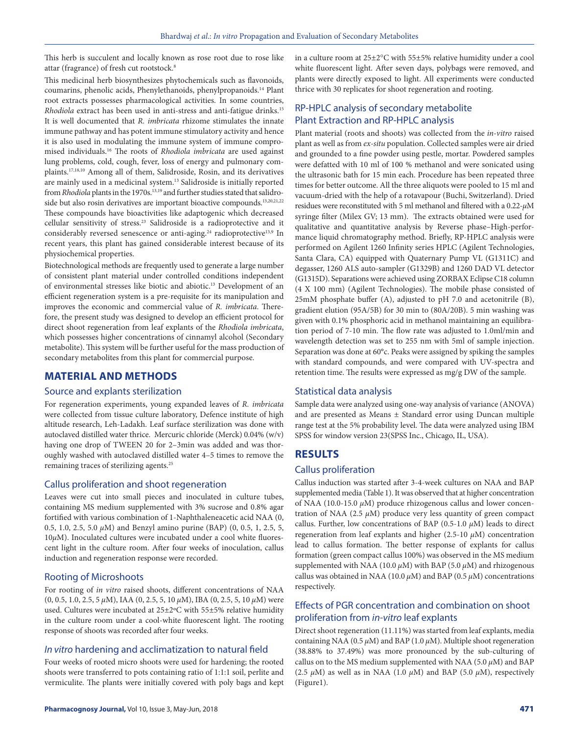This herb is succulent and locally known as rose root due to rose like attar (fragrance) of fresh cut rootstock.<sup>8</sup>

This medicinal herb biosynthesizes phytochemicals such as flavonoids, coumarins, phenolic acids, Phenylethanoids, phenylpropanoids.14 Plant root extracts possesses pharmacological activities. In some countries, *Rhodiola* extract has been used in anti-stress and anti-fatigue drinks.15 It is well documented that *R. imbricata* rhizome stimulates the innate immune pathway and has potent immune stimulatory activity and hence it is also used in modulating the immune system of immune compromised individuals.16 The roots of *Rhodiola imbricata* are used against lung problems, cold, cough, fever, loss of energy and pulmonary complaints.17,18,10 Among all of them, Salidroside, Rosin, and its derivatives are mainly used in a medicinal system.<sup>13</sup> Salidroside is initially reported from *Rhodiola* plants in the 1970s.<sup>13,19</sup> and further studies stated that salidroside but also rosin derivatives are important bioactive compounds.<sup>13,20,21,22</sup> These compounds have bioactivities like adaptogenic which decreased cellular sensitivity of stress.23 Salidroside is a radioprotective and it considerably reversed senescence or anti-aging.<sup>24</sup> radioprotective<sup>13,9</sup> In recent years, this plant has gained considerable interest because of its physiochemical properties.

Biotechnological methods are frequently used to generate a large number of consistent plant material under controlled conditions independent of environmental stresses like biotic and abiotic.13 Development of an efficient regeneration system is a pre-requisite for its manipulation and improves the economic and commercial value of *R. imbricata*. Therefore, the present study was designed to develop an efficient protocol for direct shoot regeneration from leaf explants of the *Rhodiola imbricata*, which possesses higher concentrations of cinnamyl alcohol (Secondary metabolite). This system will be further useful for the mass production of secondary metabolites from this plant for commercial purpose.

### **MATERIAL AND METHODS**

#### Source and explants sterilization

For regeneration experiments, young expanded leaves of *R. imbricata* were collected from tissue culture laboratory, Defence institute of high altitude research, Leh-Ladakh. Leaf surface sterilization was done with autoclaved distilled water thrice. Mercuric chloride (Merck) 0.04% (w/v) having one drop of TWEEN 20 for 2–3min was added and was thoroughly washed with autoclaved distilled water 4–5 times to remove the remaining traces of sterilizing agents.25

### Callus proliferation and shoot regeneration

Leaves were cut into small pieces and inoculated in culture tubes, containing MS medium supplemented with 3% sucrose and 0.8% agar fortified with various combination of 1-Naphthaleneacetic acid NAA (0, 0.5, 1.0, 2.5, 5.0 *µ*M) and Benzyl amino purine (BAP) (0, 0.5, 1, 2.5, 5, 10*µ*M). Inoculated cultures were incubated under a cool white fluorescent light in the culture room. After four weeks of inoculation, callus induction and regeneration response were recorded.

### Rooting of Microshoots

For rooting of *in vitro* raised shoots, different concentrations of NAA (0, 0.5, 1.0, 2.5, 5 *µ*M), IAA (0, 2.5, 5, 10 *µ*M), IBA (0, 2.5, 5, 10 *µ*M) were used. Cultures were incubated at 25±2ºC with 55±5% relative humidity in the culture room under a cool-white fluorescent light. The rooting response of shoots was recorded after four weeks.

#### *In vitro* hardening and acclimatization to natural field

Four weeks of rooted micro shoots were used for hardening; the rooted shoots were transferred to pots containing ratio of 1:1:1 soil, perlite and vermiculite. The plants were initially covered with poly bags and kept

in a culture room at 25±2°C with 55±5% relative humidity under a cool white fluorescent light. After seven days, polybags were removed, and plants were directly exposed to light. All experiments were conducted thrice with 30 replicates for shoot regeneration and rooting.

# RP-HPLC analysis of secondary metabolite Plant Extraction and RP-HPLC analysis

Plant material (roots and shoots) was collected from the *in-vitro* raised plant as well as from *ex-situ* population. Collected samples were air dried and grounded to a fine powder using pestle, mortar. Powdered samples were defatted with 10 ml of 100 % methanol and were sonicated using the ultrasonic bath for 15 min each. Procedure has been repeated three times for better outcome. All the three aliquots were pooled to 15 ml and vacuum-dried with the help of a rotavapour (Buchi, Switzerland). Dried residues were reconstituted with 5 ml methanol and filtered with a 0.22-*µ*M syringe filter (Milex GV; 13 mm). The extracts obtained were used for qualitative and quantitative analysis by Reverse phase–High-performance liquid chromatography method. Briefly, RP-HPLC analysis were performed on Agilent 1260 Infinity series HPLC (Agilent Technologies, Santa Clara, CA) equipped with Quaternary Pump VL (G1311C) and degasser, 1260 ALS auto-sampler (G1329B) and 1260 DAD VL detector (G1315D). Separations were achieved using ZORBAX Eclipse C18 column (4 X 100 mm) (Agilent Technologies). The mobile phase consisted of 25mM phosphate buffer (A), adjusted to pH 7.0 and acetonitrile (B), gradient elution (95A/5B) for 30 min to (80A/20B). 5 min washing was given with 0.1% phosphoric acid in methanol maintaining an equilibration period of 7-10 min. The flow rate was adjusted to 1.0ml/min and wavelength detection was set to 255 nm with 5ml of sample injection. Separation was done at 60°c. Peaks were assigned by spiking the samples with standard compounds, and were compared with UV-spectra and retention time. The results were expressed as mg/g DW of the sample.

### Statistical data analysis

Sample data were analyzed using one-way analysis of variance (ANOVA) and are presented as Means ± Standard error using Duncan multiple range test at the 5% probability level. The data were analyzed using IBM SPSS for window version 23(SPSS Inc., Chicago, IL, USA).

### **RESULTS**

#### Callus proliferation

Callus induction was started after 3-4-week cultures on NAA and BAP supplemented media (Table 1). It was observed that at higher concentration of NAA (10.0-15.0 *µ*M) produce rhizogenous callus and lower concentration of NAA (2.5  $\mu$ M) produce very less quantity of green compact callus. Further, low concentrations of BAP (0.5-1.0 *µ*M) leads to direct regeneration from leaf explants and higher (2.5-10 *µ*M) concentration lead to callus formation. The better response of explants for callus formation (green compact callus 100%) was observed in the MS medium supplemented with NAA (10.0  $\mu$ M) with BAP (5.0  $\mu$ M) and rhizogenous callus was obtained in NAA (10.0  $\mu$ M) and BAP (0.5  $\mu$ M) concentrations respectively.

## Effects of PGR concentration and combination on shoot proliferation from *in-vitro* leaf explants

Direct shoot regeneration (11.11%) was started from leaf explants, media containing NAA ( $0.5 \mu$ M) and BAP ( $1.0 \mu$ M). Multiple shoot regeneration (38.88% to 37.49%) was more pronounced by the sub-culturing of callus on to the MS medium supplemented with NAA (5.0  $\mu$ M) and BAP (2.5  $\mu$ M) as well as in NAA (1.0  $\mu$ M) and BAP (5.0  $\mu$ M), respectively (Figure1).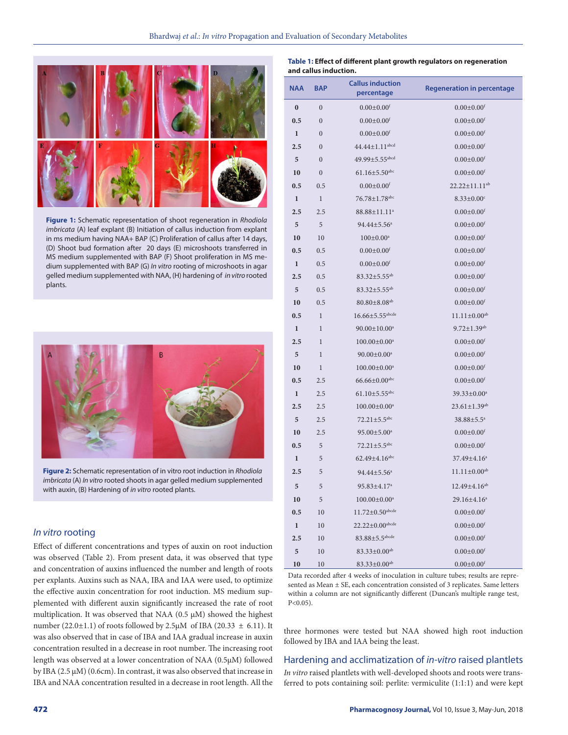

**Figure 1:** Schematic representation of shoot regeneration in *Rhodiola imbricata* (A) leaf explant (B) Initiation of callus induction from explant in ms medium having NAA+ BAP (C) Proliferation of callus after 14 days, (D) Shoot bud formation after 20 days (E) microshoots transferred in MS medium supplemented with BAP (F) Shoot proliferation in MS medium supplemented with BAP (G) *In vitro* rooting of microshoots in agar gelled medium supplemented with NAA, (H) hardening of *in vitro* rooted plants.



**Figure 2:** Schematic representation of in vitro root induction in *Rhodiola imbricata* (A) *In vitro* rooted shoots in agar gelled medium supplemented with auxin, (B) Hardening of *in vitro* rooted plants.

### *In vitro* rooting

Effect of different concentrations and types of auxin on root induction was observed (Table 2). From present data, it was observed that type and concentration of auxins influenced the number and length of roots per explants. Auxins such as NAA, IBA and IAA were used, to optimize the effective auxin concentration for root induction. MS medium supplemented with different auxin significantly increased the rate of root multiplication. It was observed that NAA (0.5 μM) showed the highest number (22.0 $\pm$ 1.1) of roots followed by 2.5μM of IBA (20.33  $\pm$  6.11). It was also observed that in case of IBA and IAA gradual increase in auxin concentration resulted in a decrease in root number. The increasing root length was observed at a lower concentration of NAA (0.5μM) followed by IBA (2.5 μM) (0.6cm). In contrast, it was also observed that increase in IBA and NAA concentration resulted in a decrease in root length. All the

| Table 1: Effect of different plant growth regulators on regeneration |
|----------------------------------------------------------------------|
| and callus induction.                                                |

| <b>NAA</b>   | <b>BAP</b>       | <b>Callus induction</b><br>percentage | <b>Regeneration in percentage</b> |  |
|--------------|------------------|---------------------------------------|-----------------------------------|--|
| $\bf{0}$     | $\boldsymbol{0}$ | $0.00 \pm 0.00$ <sup>f</sup>          | $0.00 \pm 0.00$ <sup>f</sup>      |  |
| 0.5          | $\boldsymbol{0}$ | $0.00 \pm 0.00$ <sup>f</sup>          | $0.00 \pm 0.00$ <sup>f</sup>      |  |
| $\mathbf{1}$ | $\overline{0}$   | $0.00 \pm 0.00$ <sup>f</sup>          | $0.00 \pm 0.00$ <sup>f</sup>      |  |
| 2.5          | $\overline{0}$   | $44.44 \pm 1.11$ <sup>abcd</sup>      | $0.00 \pm 0.00$ <sup>f</sup>      |  |
| 5            | $\boldsymbol{0}$ | $49.99 \pm 5.55$ <sup>abcd</sup>      | $0.00 \pm 0.00$ <sup>f</sup>      |  |
| 10           | $\overline{0}$   | $61.16 \pm 5.50$ <sup>abc</sup>       | $0.00 \pm 0.00$ <sup>f</sup>      |  |
| 0.5          | 0.5              | $0.00 + 0.00$ <sup>f</sup>            | $22.22 \pm 11.11^{ab}$            |  |
| $\mathbf{1}$ | $\mathbf{1}$     | 76.78±1.78 <sup>abc</sup>             | $8.33 \pm 0.00$ <sup>c</sup>      |  |
| 2.5          | 2.5              | 88.88±11.11 <sup>a</sup>              | $0.00 \pm 0.00$ <sup>f</sup>      |  |
| 5            | 5                | 94.44±5.56 <sup>a</sup>               | $0.00 \pm 0.00$ <sup>f</sup>      |  |
| 10           | 10               | $100 \pm 0.00^a$                      | $0.00 \pm 0.00$ <sup>f</sup>      |  |
| 0.5          | 0.5              | $0.00 \pm 0.00$ <sup>f</sup>          | $0.00 \pm 0.00$ <sup>f</sup>      |  |
| $\mathbf{1}$ | 0.5              | $0.00 + 0.00$ <sup>f</sup>            | $0.00 \pm 0.00$ <sup>f</sup>      |  |
| 2.5          | 0.5              | $83.32 \pm 5.55^{ab}$                 | $0.00 \pm 0.00$ <sup>f</sup>      |  |
| 5            | 0.5              | $83.32 \pm 5.55^{ab}$                 | $0.00 \pm 0.00$ <sup>f</sup>      |  |
| 10           | 0.5              | $80.80 \pm 8.08$ <sup>ab</sup>        | $0.00 \pm 0.00$ <sup>f</sup>      |  |
| 0.5          | 1                | $16.66 \pm 5.55$ <sup>abcde</sup>     | $11.11 \pm 0.00$ <sup>ab</sup>    |  |
| $\mathbf{1}$ | 1                | $90.00 \pm 10.00^a$                   | $9.72 \pm 1.39^{ab}$              |  |
| 2.5          | 1                | $100.00 \pm 0.00$ <sup>a</sup>        | $0.00 \pm 0.00$ <sup>f</sup>      |  |
| 5            | 1                | $90.00 \pm 0.00^a$                    | $0.00 \pm 0.00$ <sup>f</sup>      |  |
| 10           | 1                | $100.00 \pm 0.00^a$                   | $0.00 \pm 0.00$ <sup>f</sup>      |  |
| 0.5          | 2.5              | $66.66 \pm 0.00$ <sup>abc</sup>       | $0.00 \pm 0.00$ <sup>f</sup>      |  |
| $\mathbf{1}$ | 2.5              | $61.10 \pm 5.55$ <sup>abc</sup>       | 39.33±0.00 <sup>a</sup>           |  |
| 2.5          | 2.5              | $100.00 \pm 0.00^a$                   | $23.61 \pm 1.39^{ab}$             |  |
| 5            | 2.5              | $72.21 \pm 5.5$ <sup>abc</sup>        | 38.88±5.5 <sup>a</sup>            |  |
| 10           | 2.5              | $95.00 \pm 5.00^a$                    | $0.00 \pm 0.00$ <sup>f</sup>      |  |
| 0.5          | 5                | $72.21 \pm 5.5$ <sup>abc</sup>        | $0.00 \pm 0.00$ <sup>f</sup>      |  |
| $\mathbf{1}$ | 5                | $62.49 \pm 4.16$ abc                  | 37.49±4.16 <sup>a</sup>           |  |
| 2.5          | 5                | $94.44 \pm 5.56^a$                    | $11.11 \pm 0.00$ <sup>ab</sup>    |  |
| 5            | 5                | 95.83±4.17 <sup>a</sup>               | 12.49±4.16 <sup>ab</sup>          |  |
| 10           | 5                | $100.00 \pm 0.00$ <sup>a</sup>        | 29.16±4.16 <sup>a</sup>           |  |
| 0.5          | 10               | $11.72 \pm 0.50$ abcde                | $0.00 \pm 0.00$ <sup>f</sup>      |  |
| $\mathbf{1}$ | 10               | $22.22 \pm 0.00$ abcde                | $0.00 \pm 0.00$ <sup>f</sup>      |  |
| 2.5          | 10               | $83.88 \pm 5.5$ abcde                 | $0.00 \pm 0.00$ <sup>f</sup>      |  |
| 5            | 10               | $83.33 \pm 0.00$ <sup>ab</sup>        | $0.00 \pm 0.00$ <sup>f</sup>      |  |
| 10           | 10               | $83.33 \pm 0.00$ <sup>ab</sup>        | $0.00 \pm 0.00$ <sup>f</sup>      |  |

Data recorded after 4 weeks of inoculation in culture tubes; results are represented as Mean  $\pm$  SE, each concentration consisted of 3 replicates. Same letters within a column are not significantly different (Duncan's multiple range test,  $P < 0.05$ ).

three hormones were tested but NAA showed high root induction followed by IBA and IAA being the least.

#### Hardening and acclimatization of *in-vitro* raised plantlets

*In vitro* raised plantlets with well-developed shoots and roots were transferred to pots containing soil: perlite: vermiculite (1:1:1) and were kept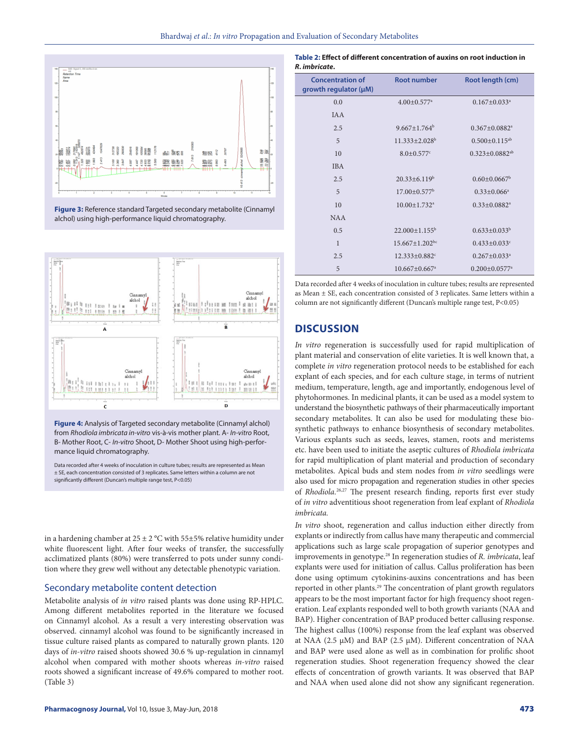

**Figure 3:** Reference standard Targeted secondary metabolite (Cinnamyl alchol) using high-performance liquid chromatography.



**Figure 4:** Analysis of Targeted secondary metabolite (Cinnamyl alchol) from *Rhodiola imbricata in-vitro* vis-à-vis mother plant. A- *In-vitro* Root, B- Mother Root, C- *In-vitro* Shoot, D- Mother Shoot using high-performance liquid chromatography.

Data recorded after 4 weeks of inoculation in culture tubes; results are represented as Mean ± SE, each concentration consisted of 3 replicates. Same letters within a column are not significantly different (Duncan's multiple range test, P<0.05)

in a hardening chamber at  $25 \pm 2$  °C with 55 $\pm$ 5% relative humidity under white fluorescent light. After four weeks of transfer, the successfully acclimatized plants (80%) were transferred to pots under sunny condition where they grew well without any detectable phenotypic variation.

#### Secondary metabolite content detection

Metabolite analysis of *in vitro* raised plants was done using RP-HPLC. Among different metabolites reported in the literature we focused on Cinnamyl alcohol. As a result a very interesting observation was observed. cinnamyl alcohol was found to be significantly increased in tissue culture raised plants as compared to naturally grown plants. 120 days of *in-vitro* raised shoots showed 30.6 % up-regulation in cinnamyl alcohol when compared with mother shoots whereas *in-vitro* raised roots showed a significant increase of 49.6% compared to mother root. (Table 3)

| <b>Concentration of</b><br>growth regulator (µM) | <b>Root number</b>               | Root length (cm)                 |  |  |  |  |  |
|--------------------------------------------------|----------------------------------|----------------------------------|--|--|--|--|--|
| 0.0                                              | $4.00 \pm 0.577$ <sup>a</sup>    | $0.167 \pm 0.033$ <sup>a</sup>   |  |  |  |  |  |
| <b>IAA</b>                                       |                                  |                                  |  |  |  |  |  |
| 2.5                                              | $9.667 \pm 1.764^b$              | $0.367 \pm 0.0882$ <sup>a</sup>  |  |  |  |  |  |
| 5                                                | $11.333 \pm 2.028$ <sup>b</sup>  | $0.500 \pm 0.115^{ab}$           |  |  |  |  |  |
| 10                                               | $8.0 \pm 0.577$ <sup>c</sup>     | $0.323 \pm 0.0882$ <sup>ab</sup> |  |  |  |  |  |
| <b>IBA</b>                                       |                                  |                                  |  |  |  |  |  |
| 2.5                                              | $20.33 \pm 6.119^b$              | $0.60 \pm 0.0667^b$              |  |  |  |  |  |
| 5                                                | $17.00 \pm 0.577$ <sup>b</sup>   | $0.33 \pm 0.066$ <sup>a</sup>    |  |  |  |  |  |
| 10                                               | $10.00 \pm 1.732$ <sup>a</sup>   | $0.33 \pm 0.0882$ <sup>a</sup>   |  |  |  |  |  |
| <b>NAA</b>                                       |                                  |                                  |  |  |  |  |  |
| 0.5                                              | $22.000 \pm 1.155^b$             | $0.633 \pm 0.033^b$              |  |  |  |  |  |
| $\mathbf{1}$                                     | $15.667 \pm 1.202$ <sup>bc</sup> | $0.433 \pm 0.033$ <sup>c</sup>   |  |  |  |  |  |
| 2.5                                              | $12.333 \pm 0.882$ <sup>c</sup>  | $0.267 \pm 0.033$ <sup>a</sup>   |  |  |  |  |  |
| 5                                                | $10.667 \pm 0.667$ <sup>a</sup>  | $0.200 \pm 0.0577$ <sup>a</sup>  |  |  |  |  |  |

Data recorded after 4 weeks of inoculation in culture tubes; results are represented as Mean ± SE, each concentration consisted of 3 replicates. Same letters within a column are not significantly different (Duncan's multiple range test, P<0.05)

### **DISCUSSION**

*In vitro* regeneration is successfully used for rapid multiplication of plant material and conservation of elite varieties. It is well known that, a complete *in vitro* regeneration protocol needs to be established for each explant of each species, and for each culture stage, in terms of nutrient medium, temperature, length, age and importantly, endogenous level of phytohormones. In medicinal plants, it can be used as a model system to understand the biosynthetic pathways of their pharmaceutically important secondary metabolites. It can also be used for modulating these biosynthetic pathways to enhance biosynthesis of secondary metabolites. Various explants such as seeds, leaves, stamen, roots and meristems etc. have been used to initiate the aseptic cultures of *Rhodiola imbricata* for rapid multiplication of plant material and production of secondary metabolites. Apical buds and stem nodes from *in vitro* seedlings were also used for micro propagation and regeneration studies in other species of *Rhodiola.*26,27 The present research finding, reports first ever study of *in vitro* adventitious shoot regeneration from leaf explant of *Rhodiola imbricata.*

*In vitro* shoot, regeneration and callus induction either directly from explants or indirectly from callus have many therapeutic and commercial applications such as large scale propagation of superior genotypes and improvements in genotype.28 In regeneration studies of *R. imbricata*, leaf explants were used for initiation of callus. Callus proliferation has been done using optimum cytokinins-auxins concentrations and has been reported in other plants.<sup>29</sup> The concentration of plant growth regulators appears to be the most important factor for high frequency shoot regeneration. Leaf explants responded well to both growth variants (NAA and BAP). Higher concentration of BAP produced better callusing response. The highest callus (100%) response from the leaf explant was observed at NAA (2.5 μM) and BAP (2.5 μM). Different concentration of NAA and BAP were used alone as well as in combination for prolific shoot regeneration studies. Shoot regeneration frequency showed the clear effects of concentration of growth variants. It was observed that BAP and NAA when used alone did not show any significant regeneration.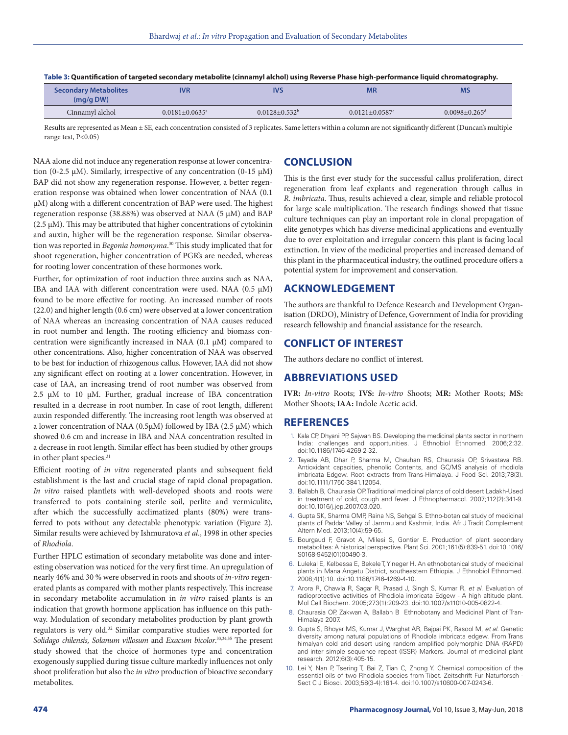| <b>Secondary Metabolites</b><br>(mq/q DW) | <b>IVR</b>                       | IVS                | <b>MR</b>           |                               |
|-------------------------------------------|----------------------------------|--------------------|---------------------|-------------------------------|
| Cinnamyl alchol                           | $0.0181 \pm 0.0635$ <sup>a</sup> | $0.0128 + 0.532^b$ | $0.0121 + 0.0587$ ° | $0.0098 + 0.265$ <sup>d</sup> |

**Table 3: Quantification of targeted secondary metabolite (cinnamyl alchol) using Reverse Phase high-performance liquid chromatography.** 

Results are represented as Mean ± SE, each concentration consisted of 3 replicates. Same letters within a column are not significantly different (Duncan's multiple range test, P<0.05)

NAA alone did not induce any regeneration response at lower concentration (0-2.5 μM). Similarly, irrespective of any concentration (0-15 μM) BAP did not show any regeneration response. However, a better regeneration response was obtained when lower concentration of NAA (0.1 μM) along with a different concentration of BAP were used. The highest regeneration response (38.88%) was observed at NAA (5 μM) and BAP (2.5 μM). This may be attributed that higher concentrations of cytokinin and auxin, higher will be the regeneration response. Similar observation was reported in *Begonia homonyma*. 30 This study implicated that for shoot regeneration, higher concentration of PGR's are needed, whereas for rooting lower concentration of these hormones work.

Further, for optimization of root induction three auxins such as NAA, IBA and IAA with different concentration were used. NAA (0.5 μM) found to be more effective for rooting. An increased number of roots (22.0) and higher length (0.6 cm) were observed at a lower concentration of NAA whereas an increasing concentration of NAA causes reduced in root number and length. The rooting efficiency and biomass concentration were significantly increased in NAA (0.1 μM) compared to other concentrations. Also, higher concentration of NAA was observed to be best for induction of rhizogenous callus. However, IAA did not show any significant effect on rooting at a lower concentration. However, in case of IAA, an increasing trend of root number was observed from 2.5 μM to 10 μM. Further, gradual increase of IBA concentration resulted in a decrease in root number. In case of root length, different auxin responded differently. The increasing root length was observed at a lower concentration of NAA (0.5 $\mu$ M) followed by IBA (2.5  $\mu$ M) which showed 0.6 cm and increase in IBA and NAA concentration resulted in a decrease in root length. Similar effect has been studied by other groups in other plant species.<sup>31</sup>

Efficient rooting of *in vitro* regenerated plants and subsequent field establishment is the last and crucial stage of rapid clonal propagation. *In vitro* raised plantlets with well-developed shoots and roots were transferred to pots containing sterile soil, perlite and vermiculite, after which the successfully acclimatized plants (80%) were transferred to pots without any detectable phenotypic variation (Figure 2). Similar results were achieved by Ishmuratova *et al*., 1998 in other species of *Rhodiola*.

Further HPLC estimation of secondary metabolite was done and interesting observation was noticed for the very first time. An upregulation of nearly 46% and 30 % were observed in roots and shoots of *in-vitro* regenerated plants as compared with mother plants respectively. This increase in secondary metabolite accumulation in *in vitro* raised plants is an indication that growth hormone application has influence on this pathway. Modulation of secondary metabolites production by plant growth regulators is very old.32 Similar comparative studies were reported for *Solidago chilensis, Solanum villosum* and *Exacum bicolor*. 33,34,35 The present study showed that the choice of hormones type and concentration exogenously supplied during tissue culture markedly influences not only shoot proliferation but also the *in vitro* production of bioactive secondary metabolites.

# **CONCLUSION**

This is the first ever study for the successful callus proliferation, direct regeneration from leaf explants and regeneration through callus in *R. imbricata*. Thus, results achieved a clear, simple and reliable protocol for large scale multiplication. The research findings showed that tissue culture techniques can play an important role in clonal propagation of elite genotypes which has diverse medicinal applications and eventually due to over exploitation and irregular concern this plant is facing local extinction. In view of the medicinal properties and increased demand of this plant in the pharmaceutical industry, the outlined procedure offers a potential system for improvement and conservation.

### **ACKNOWLEDGEMENT**

The authors are thankful to Defence Research and Development Organisation (DRDO), Ministry of Defence, Government of India for providing research fellowship and financial assistance for the research.

# **CONFLICT OF INTEREST**

The authors declare no conflict of interest.

### **ABBREVIATIONS USED**

**IVR:** *In-vitro* Roots; **IVS:** *In-vitro* Shoots; **MR:** Mother Roots; **MS:** Mother Shoots; **IAA:** Indole Acetic acid.

### **REFERENCES**

- 1. Kala CP, Dhyani PP, Sajwan BS. Developing the medicinal plants sector in northern India: challenges and opportunities. J Ethnobiol Ethnomed. 2006;2:32. doi:10.1186/1746-4269-2-32.
- 2. Tayade AB, Dhar P, Sharma M, Chauhan RS, Chaurasia OP, Srivastava RB. Antioxidant capacities, phenolic Contents, and GC/MS analysis of rhodiola imbricata Edgew. Root extracts from Trans-Himalaya. J Food Sci. 2013;78(3). doi:10.1111/1750-3841.12054.
- 3. Ballabh B, Chaurasia OP. Traditional medicinal plants of cold desert Ladakh-Used in treatment of cold, cough and fever. J Ethnopharmacol. 2007;112(2):341-9. doi:10.1016/j.jep.2007.03.020.
- 4. Gupta SK, Sharma OMP, Raina NS, Sehgal S. Ethno-botanical study of medicinal plants of Paddar Valley of Jammu and Kashmir, India. Afr J Tradit Complement Altern Med. 2013;10(4):59-65.
- 5. Bourgaud F, Gravot A, Milesi S, Gontier E. Production of plant secondary metabolites: A historical perspective. Plant Sci. 2001;161(5):839-51. doi:10.1016/ S0168-9452(01)00490-3.
- 6. Lulekal E, Kelbessa E, Bekele T, Yineger H. An ethnobotanical study of medicinal plants in Mana Angetu District, southeastern Ethiopia. J Ethnobiol Ethnomed. 2008;4(1):10. doi:10.1186/1746-4269-4-10.
- 7. Arora R, Chawla R, Sagar R, Prasad J, Singh S, Kumar R, *et al*. Evaluation of radioprotective activities of Rhodiola imbricata Edgew - A high altitude plant. Mol Cell Biochem. 2005;273(1):209-23. doi:10.1007/s11010-005-0822-4.
- 8. Chaurasia OP, Zakwan A, Ballabh B Ethnobotany and Medicinal Plant of Tran-Himalaya 2007.
- 9. Gupta S, Bhoyar MS, Kumar J, Warghat AR, Bajpai PK, Rasool M, *et al*. Genetic diversity among natural populations of Rhodiola imbricata edgew. From Trans himalyan cold arid desert using random amplified polymorphic DNA (RAPD) and inter simple sequence repeat (ISSR) Markers. Journal of medicinal plant research. 2012;6(3):405-15.
- 10. Lei Y, Nan P, Tsering T, Bai Z, Tian C, Zhong Y. Chemical composition of the essential oils of two Rhodiola species from Tibet. Zeitschrift Fur Naturforsch -Sect C J Biosci. 2003;58(3-4):161-4. doi:10.1007/s10600-007-0243-6.